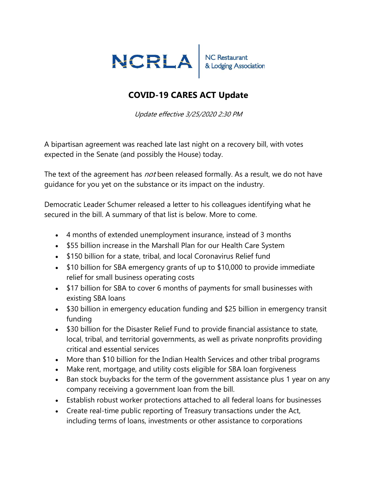

## COVID-19 CARES ACT Update

Update effective 3/25/2020 2:30 PM

A bipartisan agreement was reached late last night on a recovery bill, with votes expected in the Senate (and possibly the House) today.

The text of the agreement has *not* been released formally. As a result, we do not have guidance for you yet on the substance or its impact on the industry.

Democratic Leader Schumer released a letter to his colleagues identifying what he secured in the bill. A summary of that list is below. More to come.

- 4 months of extended unemployment insurance, instead of 3 months
- \$55 billion increase in the Marshall Plan for our Health Care System
- \$150 billion for a state, tribal, and local Coronavirus Relief fund
- \$10 billion for SBA emergency grants of up to \$10,000 to provide immediate relief for small business operating costs
- \$17 billion for SBA to cover 6 months of payments for small businesses with existing SBA loans
- \$30 billion in emergency education funding and \$25 billion in emergency transit funding
- \$30 billion for the Disaster Relief Fund to provide financial assistance to state, local, tribal, and territorial governments, as well as private nonprofits providing critical and essential services
- More than \$10 billion for the Indian Health Services and other tribal programs
- Make rent, mortgage, and utility costs eligible for SBA loan forgiveness
- Ban stock buybacks for the term of the government assistance plus 1 year on any company receiving a government loan from the bill.
- Establish robust worker protections attached to all federal loans for businesses
- Create real-time public reporting of Treasury transactions under the Act, including terms of loans, investments or other assistance to corporations